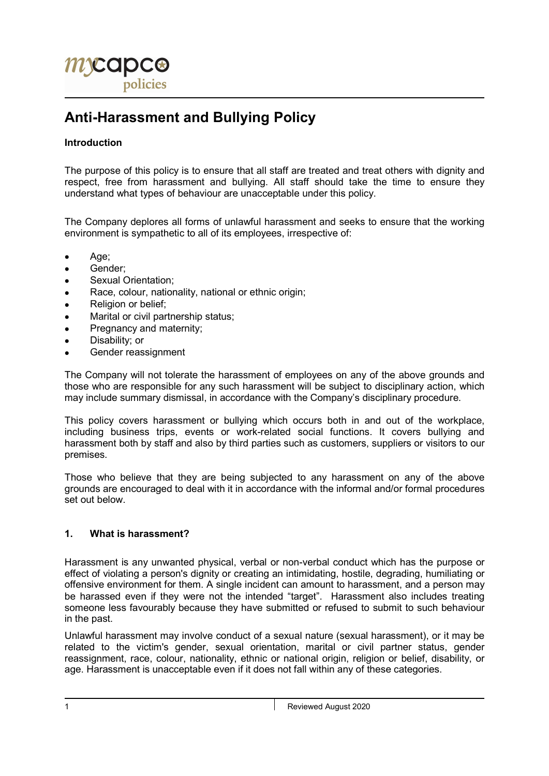

# Anti-Harassment and Bullying Policy

# Introduction

The purpose of this policy is to ensure that all staff are treated and treat others with dignity and respect, free from harassment and bullying. All staff should take the time to ensure they understand what types of behaviour are unacceptable under this policy.

The Company deplores all forms of unlawful harassment and seeks to ensure that the working environment is sympathetic to all of its employees, irrespective of:

- Age;
- Gender;
- **•** Sexual Orientation;
- Race, colour, nationality, national or ethnic origin;
- Religion or belief:
- Marital or civil partnership status;
- Pregnancy and maternity;
- Disability; or
- Gender reassignment

The Company will not tolerate the harassment of employees on any of the above grounds and those who are responsible for any such harassment will be subject to disciplinary action, which may include summary dismissal, in accordance with the Company's disciplinary procedure.

This policy covers harassment or bullying which occurs both in and out of the workplace, including business trips, events or work-related social functions. It covers bullying and harassment both by staff and also by third parties such as customers, suppliers or visitors to our premises.

Those who believe that they are being subjected to any harassment on any of the above grounds are encouraged to deal with it in accordance with the informal and/or formal procedures set out below.

# 1. What is harassment?

Harassment is any unwanted physical, verbal or non-verbal conduct which has the purpose or effect of violating a person's dignity or creating an intimidating, hostile, degrading, humiliating or offensive environment for them. A single incident can amount to harassment, and a person may be harassed even if they were not the intended "target". Harassment also includes treating someone less favourably because they have submitted or refused to submit to such behaviour in the past.

Unlawful harassment may involve conduct of a sexual nature (sexual harassment), or it may be related to the victim's gender, sexual orientation, marital or civil partner status, gender reassignment, race, colour, nationality, ethnic or national origin, religion or belief, disability, or age. Harassment is unacceptable even if it does not fall within any of these categories.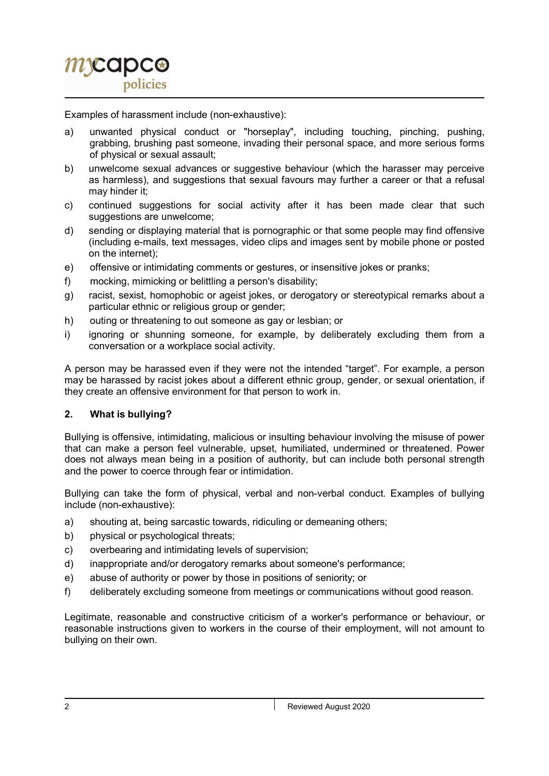

Examples of harassment include (non-exhaustive):

- a) unwanted physical conduct or "horseplay", including touching, pinching, pushing, grabbing, brushing past someone, invading their personal space, and more serious forms of physical or sexual assault;
- b) unwelcome sexual advances or suggestive behaviour (which the harasser may perceive as harmless), and suggestions that sexual favours may further a career or that a refusal may hinder it;
- c) continued suggestions for social activity after it has been made clear that such suggestions are unwelcome;
- d) sending or displaying material that is pornographic or that some people may find offensive (including e-mails, text messages, video clips and images sent by mobile phone or posted on the internet);
- e) offensive or intimidating comments or gestures, or insensitive jokes or pranks;
- f) mocking, mimicking or belittling a person's disability;
- g) racist, sexist, homophobic or ageist jokes, or derogatory or stereotypical remarks about a particular ethnic or religious group or gender;
- h) outing or threatening to out someone as gay or lesbian; or
- i) ignoring or shunning someone, for example, by deliberately excluding them from a conversation or a workplace social activity.

A person may be harassed even if they were not the intended "target". For example, a person may be harassed by racist jokes about a different ethnic group, gender, or sexual orientation, if they create an offensive environment for that person to work in.

# 2. What is bullying?

Bullying is offensive, intimidating, malicious or insulting behaviour involving the misuse of power that can make a person feel vulnerable, upset, humiliated, undermined or threatened. Power does not always mean being in a position of authority, but can include both personal strength and the power to coerce through fear or intimidation.

Bullying can take the form of physical, verbal and non-verbal conduct. Examples of bullying include (non-exhaustive):

- a) shouting at, being sarcastic towards, ridiculing or demeaning others;
- b) physical or psychological threats;
- c) overbearing and intimidating levels of supervision;
- d) inappropriate and/or derogatory remarks about someone's performance;
- e) abuse of authority or power by those in positions of seniority; or
- f) deliberately excluding someone from meetings or communications without good reason.

Legitimate, reasonable and constructive criticism of a worker's performance or behaviour, or reasonable instructions given to workers in the course of their employment, will not amount to bullying on their own.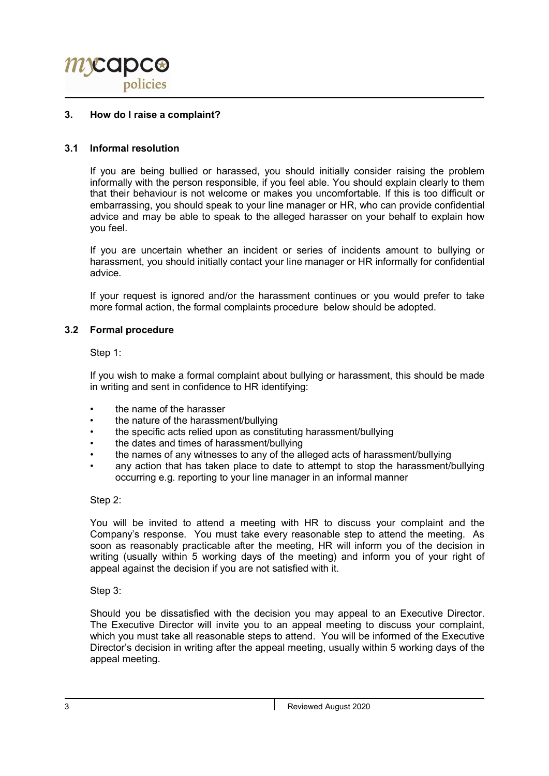

## 3. How do I raise a complaint?

## 3.1 Informal resolution

If you are being bullied or harassed, you should initially consider raising the problem informally with the person responsible, if you feel able. You should explain clearly to them that their behaviour is not welcome or makes you uncomfortable. If this is too difficult or embarrassing, you should speak to your line manager or HR, who can provide confidential advice and may be able to speak to the alleged harasser on your behalf to explain how you feel.

If you are uncertain whether an incident or series of incidents amount to bullying or harassment, you should initially contact your line manager or HR informally for confidential advice.

If your request is ignored and/or the harassment continues or you would prefer to take more formal action, the formal complaints procedure below should be adopted.

#### 3.2 Formal procedure

Step 1:

If you wish to make a formal complaint about bullying or harassment, this should be made in writing and sent in confidence to HR identifying:

- the name of the harasser
- the nature of the harassment/bullying
- the specific acts relied upon as constituting harassment/bullying
- the dates and times of harassment/bullying
- the names of any witnesses to any of the alleged acts of harassment/bullying
- any action that has taken place to date to attempt to stop the harassment/bullying occurring e.g. reporting to your line manager in an informal manner

#### Step 2:

You will be invited to attend a meeting with HR to discuss your complaint and the Company's response. You must take every reasonable step to attend the meeting. As soon as reasonably practicable after the meeting, HR will inform you of the decision in writing (usually within 5 working days of the meeting) and inform you of your right of appeal against the decision if you are not satisfied with it.

Step 3:

Should you be dissatisfied with the decision you may appeal to an Executive Director. The Executive Director will invite you to an appeal meeting to discuss your complaint, which you must take all reasonable steps to attend. You will be informed of the Executive Director's decision in writing after the appeal meeting, usually within 5 working days of the appeal meeting.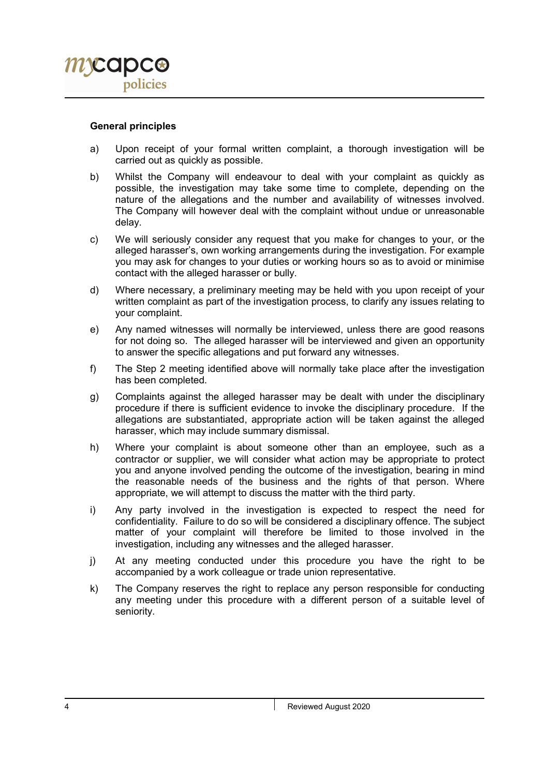#### General principles

- a) Upon receipt of your formal written complaint, a thorough investigation will be carried out as quickly as possible.
- b) Whilst the Company will endeavour to deal with your complaint as quickly as possible, the investigation may take some time to complete, depending on the nature of the allegations and the number and availability of witnesses involved. The Company will however deal with the complaint without undue or unreasonable delay.
- c) We will seriously consider any request that you make for changes to your, or the alleged harasser's, own working arrangements during the investigation. For example you may ask for changes to your duties or working hours so as to avoid or minimise contact with the alleged harasser or bully.
- d) Where necessary, a preliminary meeting may be held with you upon receipt of your written complaint as part of the investigation process, to clarify any issues relating to your complaint.
- e) Any named witnesses will normally be interviewed, unless there are good reasons for not doing so. The alleged harasser will be interviewed and given an opportunity to answer the specific allegations and put forward any witnesses.
- f) The Step 2 meeting identified above will normally take place after the investigation has been completed.
- g) Complaints against the alleged harasser may be dealt with under the disciplinary procedure if there is sufficient evidence to invoke the disciplinary procedure. If the allegations are substantiated, appropriate action will be taken against the alleged harasser, which may include summary dismissal.
- h) Where your complaint is about someone other than an employee, such as a contractor or supplier, we will consider what action may be appropriate to protect you and anyone involved pending the outcome of the investigation, bearing in mind the reasonable needs of the business and the rights of that person. Where appropriate, we will attempt to discuss the matter with the third party.
- i) Any party involved in the investigation is expected to respect the need for confidentiality. Failure to do so will be considered a disciplinary offence. The subject matter of your complaint will therefore be limited to those involved in the investigation, including any witnesses and the alleged harasser.
- j) At any meeting conducted under this procedure you have the right to be accompanied by a work colleague or trade union representative.
- k) The Company reserves the right to replace any person responsible for conducting any meeting under this procedure with a different person of a suitable level of seniority.